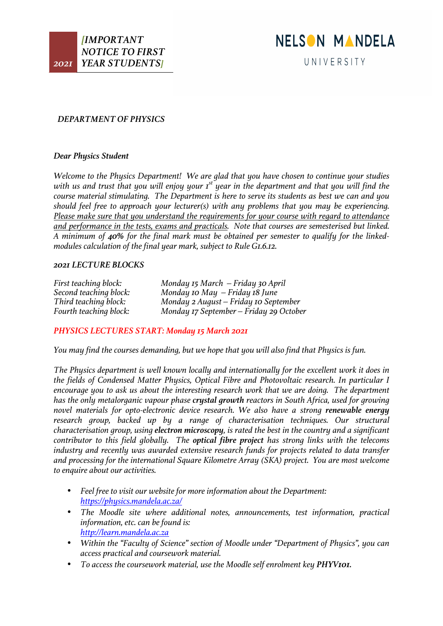

# *DEPARTMENT OF PHYSICS*

### *Dear Physics Student*

*Welcome to the Physics Department! We are glad that you have chosen to continue your studies*  with us and trust that you will enjoy your 1<sup>st</sup> year in the department and that you will find the *course material stimulating. The Department is here to serve its students as best we can and you should feel free to approach your lecturer(s) with any problems that you may be experiencing. Please make sure that you understand the requirements for your course with regard to attendance and performance in the tests, exams and practicals. Note that courses are semesterised but linked. A minimum of 40% for the final mark must be obtained per semester to qualify for the linkedmodules calculation of the final year mark, subject to Rule G1.6.12.*

### *2021 LECTURE BLOCKS*

*First teaching block: Monday 15 March – Friday 30 April Second teaching block: Monday 10 May – Friday 18 June Third teaching block: Monday 2 August – Friday 10 September Fourth teaching block: Monday 17 September – Friday 29 October*

# *PHYSICS LECTURES START: Monday 15 March 2021*

*You may find the courses demanding, but we hope that you will also find that Physics is fun.*

*The Physics department is well known locally and internationally for the excellent work it does in the fields of Condensed Matter Physics, Optical Fibre and Photovoltaic research. In particular I encourage you to ask us about the interesting research work that we are doing. The department has the only metalorganic vapour phase crystal growth reactors in South Africa, used for growing novel materials for opto-electronic device research. We also have a strong renewable energy research group, backed up by a range of characterisation techniques. Our structural characterisation group, using electron microscopy, is rated the best in the country and a significant contributor to this field globally. The optical fibre project has strong links with the telecoms industry and recently was awarded extensive research funds for projects related to data transfer and processing for the international Square Kilometre Array (SKA) project. You are most welcome to enquire about our activities.*

- *Feel free to visit our website for more information about the Department: https://physics.mandela.ac.za/*
- *The Moodle site where additional notes, announcements, test information, practical information, etc. can be found is: http://learn.mandela.ac.za*
- *Within the "Faculty of Science" section of Moodle under "Department of Physics", you can access practical and coursework material.*
- *To access the coursework material, use the Moodle self enrolment key PHYV101.*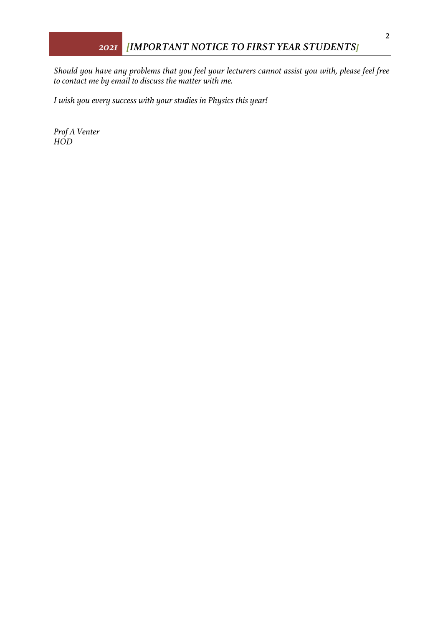*Should you have any problems that you feel your lecturers cannot assist you with, please feel free to contact me by email to discuss the matter with me.* 

*I wish you every success with your studies in Physics this year!*

*Prof A Venter HOD*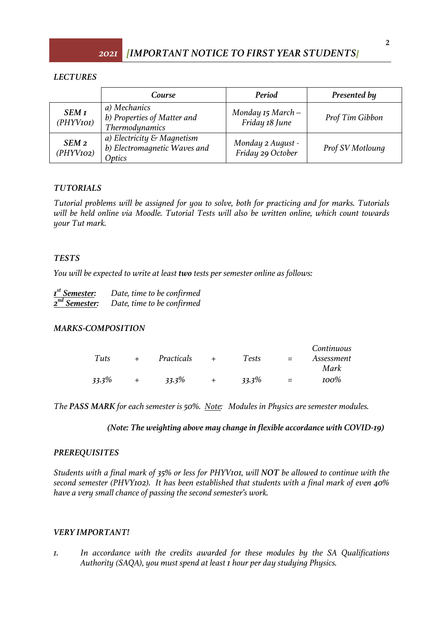# *LECTURES*

|                               | Course                                                               | Period                                  | Presented by     |
|-------------------------------|----------------------------------------------------------------------|-----------------------------------------|------------------|
| <b>SEM I</b><br>(PHYVIOI)     | a) Mechanics<br>b) Properties of Matter and<br><b>Thermodynamics</b> | Monday $15$ March $-$<br>Friday 18 June | Prof Tim Gibbon  |
| SEM <sub>2</sub><br>(PHYVIO2) | a) Electricity & Magnetism<br>b) Electromagnetic Waves and<br>Optics | Monday 2 August -<br>Friday 29 October  | Prof SV Motloung |

# *TUTORIALS*

*Tutorial problems will be assigned for you to solve, both for practicing and for marks. Tutorials will be held online via Moodle. Tutorial Tests will also be written online, which count towards your Tut mark.*

### *TESTS*

*You will be expected to write at least two tests per semester online as follows:*

| $Ist$ Semester:           | Date, time to be confirmed |
|---------------------------|----------------------------|
| 2 <sup>nd</sup> Semester: | Date, time to be confirmed |

# *MARKS-COMPOSITION*

|          |            |          |     | Continuous |
|----------|------------|----------|-----|------------|
| Tuts     | Practicals | Tests    | $=$ | Assessment |
|          |            |          |     | Mark       |
| $33.3\%$ | $33.3\%$   | $33.3\%$ | $=$ | $100\%$    |

*The PASS MARK for each semester is 50%. Note: Modules in Physics are semester modules.*

*(Note: The weighting above may change in flexible accordance with COVID-19)*

# *PREREQUISITES*

*Students with a final mark of 35% or less for PHYV101, will NOT be allowed to continue with the second semester (PHVY102). It has been established that students with a final mark of even 40% have a very small chance of passing the second semester's work.*

# *VERY IMPORTANT!*

*1. In accordance with the credits awarded for these modules by the SA Qualifications Authority (SAQA), you must spend at least 1 hour per day studying Physics.*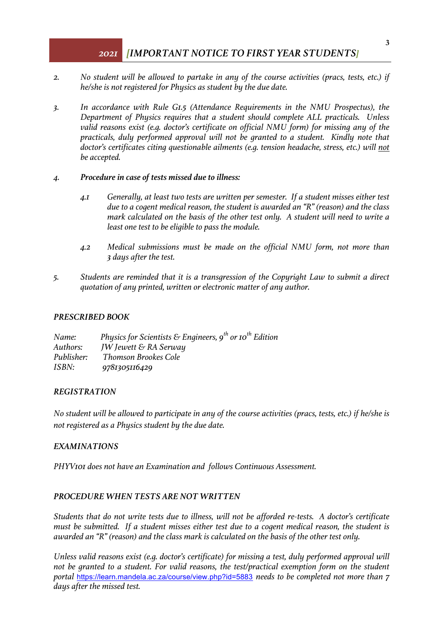# *2021 [IMPORTANT NOTICE TO FIRST YEAR STUDENTS]*

- *2. No student will be allowed to partake in any of the course activities (pracs, tests, etc.) if he/she is not registered for Physics as student by the due date.*
- *3. In accordance with Rule G1.5 (Attendance Requirements in the NMU Prospectus), the Department of Physics requires that a student should complete ALL practicals. Unless valid reasons exist (e.g. doctor's certificate on official NMU form) for missing any of the practicals, duly performed approval will not be granted to a student. Kindly note that doctor's certificates citing questionable ailments (e.g. tension headache, stress, etc.) will not be accepted.*
- *4. Procedure in case of tests missed due to illness:*
	- *4.1 Generally, at least two tests are written per semester. If a student misses either test due to a cogent medical reason, the student is awarded an "R" (reason) and the class mark calculated on the basis of the other test only. A student will need to write a least one test to be eligible to pass the module.*
	- *4.2 Medical submissions must be made on the official NMU form, not more than 3 days after the test.*
- *5. Students are reminded that it is a transgression of the Copyright Law to submit a direct quotation of any printed, written or electronic matter of any author.*

#### *PRESCRIBED BOOK*

*Name:* Physics for Scientists & Engineers, 9<sup>th</sup> or 10<sup>th</sup> Edition *Authors: JW Jewett & RA Serway Publisher: Thomson Brookes Cole ISBN: 9781305116429*

### *REGISTRATION*

*No student will be allowed to participate in any of the course activities (pracs, tests, etc.) if he/she is not registered as a Physics student by the due date.*

#### *EXAMINATIONS*

*PHYV101 does not have an Examination and follows Continuous Assessment.*

### *PROCEDURE WHEN TESTS ARE NOT WRITTEN*

*Students that do not write tests due to illness, will not be afforded re-tests. A doctor's certificate must be submitted. If a student misses either test due to a cogent medical reason, the student is awarded an "R" (reason) and the class mark is calculated on the basis of the other test only.* 

*Unless valid reasons exist (e.g. doctor's certificate) for missing a test, duly performed approval will not be granted to a student. For valid reasons, the test/practical exemption form on the student portal* https://learn.mandela.ac.za/course/view.php?id=5883 *needs to be completed not more than 7 days after the missed test.*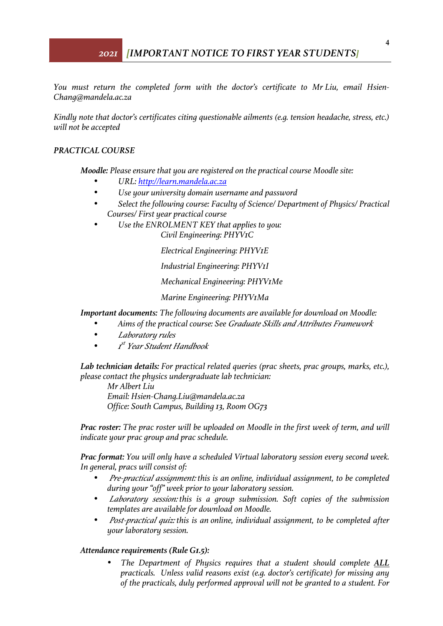# *2021 [IMPORTANT NOTICE TO FIRST YEAR STUDENTS]*

*You must return the completed form with the doctor's certificate to Mr Liu, email Hsien-Chang@mandela.ac.za*

*Kindly note that doctor's certificates citing questionable ailments (e.g. tension headache, stress, etc.) will not be accepted*

### *PRACTICAL COURSE*

*Moodle: Please ensure that you are registered on the practical course Moodle site:*

- *URL: http://learn.mandela.ac.za*
- *Use your university domain username and password*
- *Select the following course: Faculty of Science/ Department of Physics/ Practical Courses/ First year practical course*
- *Use the ENROLMENT KEY that applies to you: Civil Engineering: PHYV1C*

*Electrical Engineering: PHYV1E*

*Industrial Engineering: PHYV1I*

*Mechanical Engineering: PHYV1Me*

*Marine Engineering: PHYV1Ma*

#### *Important documents: The following documents are available for download on Moodle:*

- *Aims of the practical course: See Graduate Skills and Attributes Framework*
- *Laboratory rules*
- *<sup>1</sup> st Year Student Handbook*

*Lab technician details: For practical related queries (prac sheets, prac groups, marks, etc.), please contact the physics undergraduate lab technician:*

*Mr Albert Liu Email: Hsien-Chang.Liu@mandela.ac.za Office: South Campus, Building 13, Room OG73*

*Prac roster: The prac roster will be uploaded on Moodle in the first week of term, and will indicate your prac group and prac schedule.*

*Prac format: You will only have a scheduled Virtual laboratory session every second week. In general, pracs will consist of:*

- *Pre-practical assignment: this is an online, individual assignment, to be completed during your "off" week prior to your laboratory session.*
- *Laboratory session: this is a group submission. Soft copies of the submission templates are available for download on Moodle.*
- *Post-practical quiz: this is an online, individual assignment, to be completed after your laboratory session.*

#### *Attendance requirements (Rule G1.5):*

• *The Department of Physics requires that a student should complete ALL practicals. Unless valid reasons exist (e.g. doctor's certificate) for missing any of the practicals, duly performed approval will not be granted to a student. For*